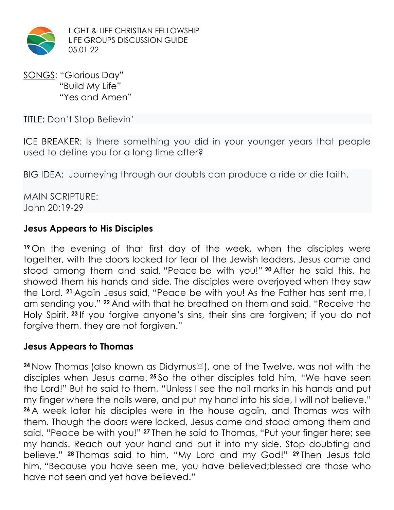

LIGHT & LIFE CHRISTIAN FELLOWSHIP LIFE GROUPS DISCUSSION GUIDE 05.01.22

SONGS: "Glorious Day" "Build My Life" "Yes and Amen"

TITLE: Don't Stop Believin'

ICE BREAKER: Is there something you did in your younger years that people used to define you for a long time after?

BIG IDEA: Journeying through our doubts can produce a ride or die faith.

MAIN SCRIPTURE: John 20:19-29

### **Jesus Appears to His Disciples**

**<sup>19</sup>** On the evening of that first day of the week, when the disciples were together, with the doors locked for fear of the Jewish leaders, Jesus came and stood among them and said, "Peace be with you!" **<sup>20</sup>** After he said this, he showed them his hands and side. The disciples were overjoyed when they saw the Lord. **<sup>21</sup>** Again Jesus said, "Peace be with you! As the Father has sent me, I am sending you." **<sup>22</sup>** And with that he breathed on them and said, "Receive the Holy Spirit. **<sup>23</sup>** If you forgive anyone's sins, their sins are forgiven; if you do not forgive them, they are not forgiven."

#### **Jesus Appears to Thomas**

<sup>24</sup> Now Thomas (also known as Didymus<sup>[a]</sup>), one of the Twelve, was not with the disciples when Jesus came. **<sup>25</sup>** So the other disciples told him, "We have seen the Lord!" But he said to them, "Unless I see the nail marks in his hands and put my finger where the nails were, and put my hand into his side, I will not believe." **<sup>26</sup>** A week later his disciples were in the house again, and Thomas was with them. Though the doors were locked, Jesus came and stood among them and said, "Peace be with you!" **<sup>27</sup>** Then he said to Thomas, "Put your finger here; see my hands. Reach out your hand and put it into my side. Stop doubting and believe." **<sup>28</sup>** Thomas said to him, "My Lord and my God!" **<sup>29</sup>** Then Jesus told him, "Because you have seen me, you have believed;blessed are those who have not seen and yet have believed."